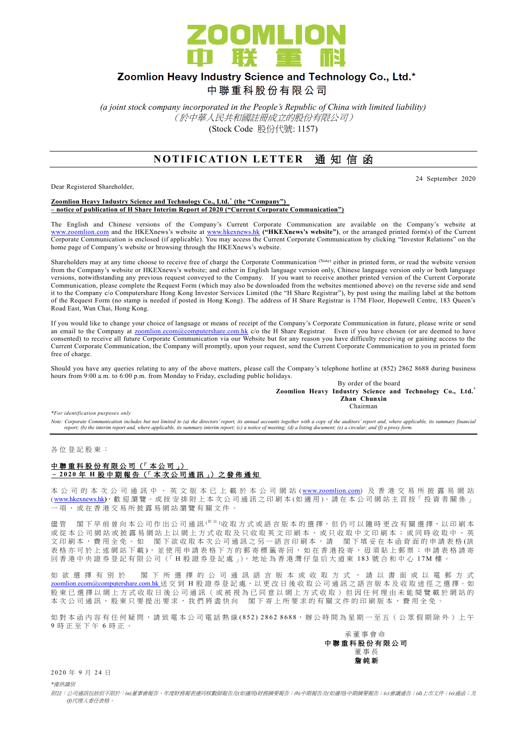

## Zoomlion Heavy Industry Science and Technology Co., Ltd.\*

中聯重科股份有限公司

*(a joint stock company incorporated in the People's Republic of China with limited liability)* (於中華人民共和國註冊成立的股份有限公司) (Stock Code 股份代號: 1157)

## **NOTIFICATION LETTER 通知信函**

Dear Registered Shareholder,

24 September 2020

**Zoomlion Heavy Industry Science and Technology Co., Ltd. \* (the "Company") – notice of publication of H Share Interim Report of 2020 ("Current Corporate Communication")**

The English and Chinese versions of the Company's Current Corporate Communication are available on the Company's website at [www.zoomlion.com](http://www.zoomlion.com/) and the HKEXnews's website at [www.hkexnews.hk](http://www.hkexnews.hk/) **("HKEXnews's website")**, or the arranged printed form(s) of the Current Corporate Communication is enclosed (if applicable). You may access the Current Corporate Communication by clicking "Investor Relations" on the home page of Company's website or browsing through the HKEXnews's website.

Shareholders may at any time choose to receive free of charge the Corporate Communication (Note) either in printed form, or read the website version from the Company's website or HKEXnews's website; and either in English language version only, Chinese language version only or both language versions, notwithstanding any previous request conveyed to the Company. If you want to receive another printed version of the Current Corporate Communication, please complete the Request Form (which may also be downloaded from the websites mentioned above) on the reverse side and send it to the Company c/o Computershare Hong Kong Investor Services Limited (the "H Share Registrar"), by post using the mailing label at the bottom of the Request Form (no stamp is needed if posted in Hong Kong). The address of H Share Registrar is 17M Floor, Hopewell Centre, 183 Queen's Road East, Wan Chai, Hong Kong.

If you would like to change your choice of language or means of receipt of the Company's Corporate Communication in future, please write or send an email to the Company at **zoomlion.ecom@computershare.com.hk** c/o the H Share Registrar. Even if you have chosen (or are deemed to have consented) to receive all future Corporate Communication via our Website but for any reason you have difficulty receiving or gaining access to the Current Corporate Communication, the Company will promptly, upon your request, send the Current Corporate Communication to you in printed form free of charge.

Should you have any queries relating to any of the above matters, please call the Company's telephone hotline at (852) 2862 8688 during business hours from 9:00 a.m. to 6:00 p.m. from Monday to Friday, excluding public holidays.

> By order of the board **Zoomlion Heavy Industry Science and Technology Co., Ltd.\* Zhan Chunxin Chairman**

*\*For identification purposes only* 

Note: Corporate Communication includes but not limited to (a) the directors' report, its annual accounts together with a copy of the auditors' report and, where applicable, its summary financial<br>report; (b) the interim rep

各 位 登 記 股 東 :

## 中聯重科股份有限公司 (「本公司」) – **2 0 2 0** 年 **H** 股中期報告 (「 本 次 公司通訊 」) 之 發 佈 通 知

本 公 司 的 本 次 公 司 通 訊 中 、 英 文 版 本 已 上 載 於 本 公 司 網 站 ([www.zoomlion.com](http://www.zoomlion.com/)) 及 香 港 交 易 所 披 露 易 網 站 ( [www.hkexnews.hk](http://www.hkexnews.hk/)**)**, 歡 迎 瀏 覽 。或 按 安 排 附 上 本 次 公 司 通 訊 之印刷本 (如適用 )。 請 在 本 公 司 網 站 主 頁 按「 投 資 者 關 係 」 一項, 或 在 香 港 交 易 所 披 露 易 網 站 瀏 覽 有 關 文 件 。

儘管 閣下早前曾向本公司作出公司通訊<sup>( 附註)</sup>收取方式或語言版本的選擇,但仍可以隨時更改有關選擇,以印刷本 或 從 本 公 司 網 站 或 披 露 易 網 站 上 以 網 上 方 式 收 取 及 只 收 取 英 文 印 刷 本 、 或 只 收 取 中 文 印 刷 本 ; 或 同 時 收 取 中 、 英 文印刷本,費用全免。如 閣下欲收取本次公司通訊之另一語言印刷本,請 閣下填妥在本函背面的申請表格(該 表格亦可於上述網站下載), 並使用申請表格下方的郵寄標籤寄回, 如在香港投寄, 毋須貼上郵票; 申請表格請寄 回 香 港 中 央 證 券 登 記 有 限 公 司 (「 H 股 證 券 登 記 處 」), 地 址 為 香 港 灣 仔 皇 后 大 道 東 183 號合和中心 17M 樓 。

如 欲 選 擇 有 別 於 閣 下 所 選 擇 的 公 司 通 訊 語 言 版 本 或 收 取 方 式 , 請 以 書 面 或 以 電 郵 方 式 [zoomlion.ecom@computershare.com.hk](mailto:zoomlion.ecom@computershare.com.hk) 送 交 到 H 股 證 券 登 記 處, 以 更 改 日 後 收 取 公 司 通 訊 之 語 言 版 本 及 收 取 途 徑 之 選 擇 。 如 股 東 已 選 擇 以 網 上 方 式 收 取 日 後 公 司 通 訊 ( 或 被 視 為 已 同 意 以 網 上 方 式 收 取 ) 但 因 任 何 理 由 未 能 閲 覽 載 於 網 站 的 本 次 公 司 通 訊 , 股 東 只 要 提 出 要 求 , 我 們 將 盡 快 向 <br>閣 下 寄 上 所 要 求 的 有 關 文 件 的 印 刷 版 本 , 費 用 全 免

如對本函內容有任何疑問,請致電本公司電話熱線(852) 2862 8688,辦公時間為星期一至五 (公眾假期除外)上午 9 時正至下午 6 時 正 。



2020 年 9 月 24 日

*\**僅供識別

附註:公司通訊包括但不限於:*(a)*董事會報告、年度財務報表連同核數師報告及*(*如適用*)*財務摘要報告;*(b)*中期報告及*(*如適用*)*中期摘要報告;*(c)*會議通告;*(d)*上市文件;*(e)*通函;及 *(f)*代理人委任表格。